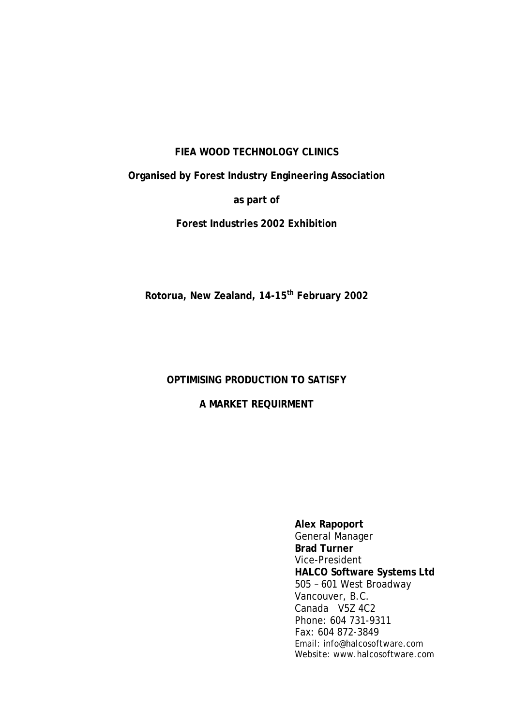#### **FIEA WOOD TECHNOLOGY CLINICS**

**Organised by Forest Industry Engineering Association** 

**as part of** 

**Forest Industries 2002 Exhibition** 

**Rotorua, New Zealand, 14-15th February 2002** 

# **OPTIMISING PRODUCTION TO SATISFY**

## **A MARKET REQUIRMENT**

**Alex Rapoport**  General Manager **Brad Turner**  Vice-President **HALCO Software Systems Ltd**  505 – 601 West Broadway Vancouver, B.C. Canada V5Z 4C2 Phone: 604 731-9311 Fax: 604 872-3849 Email: info@halcosoftware.com Website: www.halcosoftware.com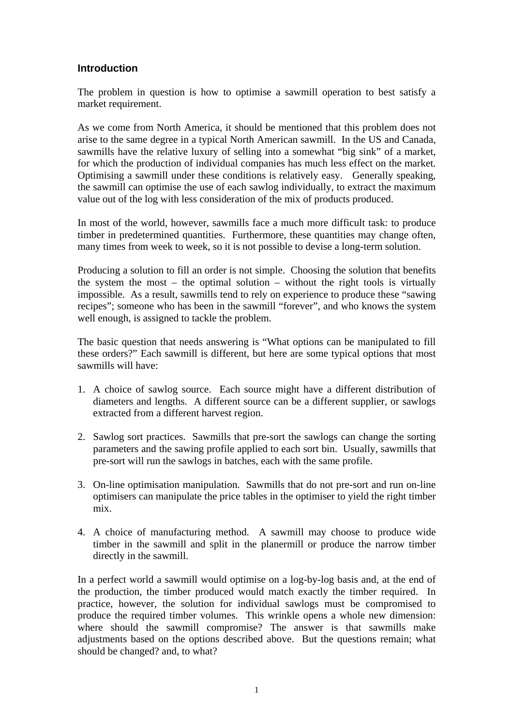### **Introduction**

The problem in question is how to optimise a sawmill operation to best satisfy a market requirement.

As we come from North America, it should be mentioned that this problem does not arise to the same degree in a typical North American sawmill. In the US and Canada, sawmills have the relative luxury of selling into a somewhat "big sink" of a market, for which the production of individual companies has much less effect on the market. Optimising a sawmill under these conditions is relatively easy. Generally speaking, the sawmill can optimise the use of each sawlog individually, to extract the maximum value out of the log with less consideration of the mix of products produced.

In most of the world, however, sawmills face a much more difficult task: to produce timber in predetermined quantities. Furthermore, these quantities may change often, many times from week to week, so it is not possible to devise a long-term solution.

Producing a solution to fill an order is not simple. Choosing the solution that benefits the system the most – the optimal solution – without the right tools is virtually impossible. As a result, sawmills tend to rely on experience to produce these "sawing recipes"; someone who has been in the sawmill "forever", and who knows the system well enough, is assigned to tackle the problem.

The basic question that needs answering is "What options can be manipulated to fill these orders?" Each sawmill is different, but here are some typical options that most sawmills will have:

- 1. A choice of sawlog source. Each source might have a different distribution of diameters and lengths. A different source can be a different supplier, or sawlogs extracted from a different harvest region.
- 2. Sawlog sort practices. Sawmills that pre-sort the sawlogs can change the sorting parameters and the sawing profile applied to each sort bin. Usually, sawmills that pre-sort will run the sawlogs in batches, each with the same profile.
- 3. On-line optimisation manipulation. Sawmills that do not pre-sort and run on-line optimisers can manipulate the price tables in the optimiser to yield the right timber mix.
- 4. A choice of manufacturing method. A sawmill may choose to produce wide timber in the sawmill and split in the planermill or produce the narrow timber directly in the sawmill.

In a perfect world a sawmill would optimise on a log-by-log basis and, at the end of the production, the timber produced would match exactly the timber required. In practice, however, the solution for individual sawlogs must be compromised to produce the required timber volumes. This wrinkle opens a whole new dimension: where should the sawmill compromise? The answer is that sawmills make adjustments based on the options described above. But the questions remain; what should be changed? and, to what?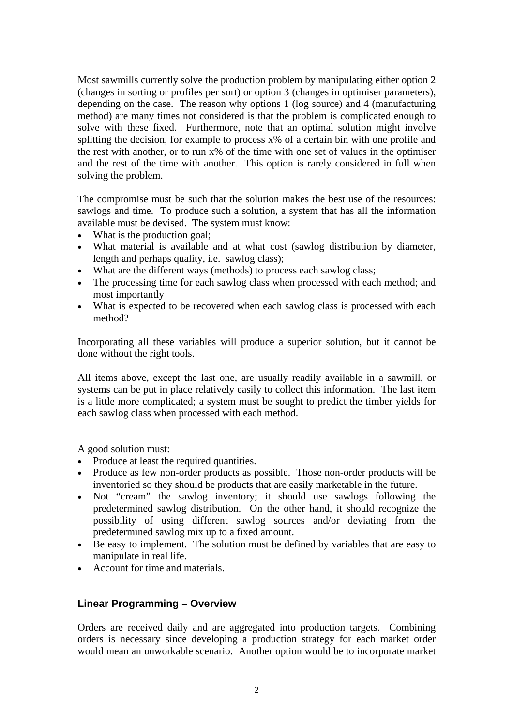Most sawmills currently solve the production problem by manipulating either option 2 (changes in sorting or profiles per sort) or option 3 (changes in optimiser parameters), depending on the case. The reason why options 1 (log source) and 4 (manufacturing method) are many times not considered is that the problem is complicated enough to solve with these fixed. Furthermore, note that an optimal solution might involve splitting the decision, for example to process  $x\%$  of a certain bin with one profile and the rest with another, or to run x% of the time with one set of values in the optimiser and the rest of the time with another. This option is rarely considered in full when solving the problem.

The compromise must be such that the solution makes the best use of the resources: sawlogs and time. To produce such a solution, a system that has all the information available must be devised. The system must know:

- What is the production goal;
- What material is available and at what cost (sawlog distribution by diameter, length and perhaps quality, i.e. sawlog class);
- What are the different ways (methods) to process each sawlog class;
- The processing time for each sawlog class when processed with each method; and most importantly
- What is expected to be recovered when each sawlog class is processed with each method?

Incorporating all these variables will produce a superior solution, but it cannot be done without the right tools.

All items above, except the last one, are usually readily available in a sawmill, or systems can be put in place relatively easily to collect this information. The last item is a little more complicated; a system must be sought to predict the timber yields for each sawlog class when processed with each method.

A good solution must:

- Produce at least the required quantities.
- Produce as few non-order products as possible. Those non-order products will be inventoried so they should be products that are easily marketable in the future.
- Not "cream" the sawlog inventory; it should use sawlogs following the predetermined sawlog distribution. On the other hand, it should recognize the possibility of using different sawlog sources and/or deviating from the predetermined sawlog mix up to a fixed amount.
- Be easy to implement. The solution must be defined by variables that are easy to manipulate in real life.
- Account for time and materials.

### **Linear Programming – Overview**

Orders are received daily and are aggregated into production targets. Combining orders is necessary since developing a production strategy for each market order would mean an unworkable scenario. Another option would be to incorporate market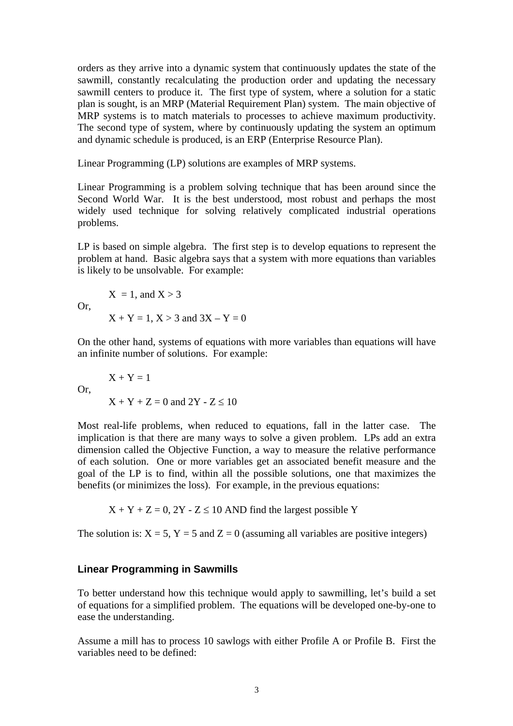orders as they arrive into a dynamic system that continuously updates the state of the sawmill, constantly recalculating the production order and updating the necessary sawmill centers to produce it. The first type of system, where a solution for a static plan is sought, is an MRP (Material Requirement Plan) system. The main objective of MRP systems is to match materials to processes to achieve maximum productivity. The second type of system, where by continuously updating the system an optimum and dynamic schedule is produced, is an ERP (Enterprise Resource Plan).

Linear Programming (LP) solutions are examples of MRP systems.

Linear Programming is a problem solving technique that has been around since the Second World War. It is the best understood, most robust and perhaps the most widely used technique for solving relatively complicated industrial operations problems.

LP is based on simple algebra. The first step is to develop equations to represent the problem at hand. Basic algebra says that a system with more equations than variables is likely to be unsolvable. For example:

$$
X = 1
$$
, and  $X > 3$   
Or,  
 $X + Y = 1, X > 3$  and  $3X - Y = 0$ 

On the other hand, systems of equations with more variables than equations will have an infinite number of solutions. For example:

Or,  
\n
$$
X + Y = 1
$$
  
\n $X + Y + Z = 0$  and  $2Y - Z \le 10$ 

Most real-life problems, when reduced to equations, fall in the latter case. The implication is that there are many ways to solve a given problem. LPs add an extra dimension called the Objective Function, a way to measure the relative performance of each solution. One or more variables get an associated benefit measure and the goal of the LP is to find, within all the possible solutions, one that maximizes the benefits (or minimizes the loss). For example, in the previous equations:

 $X + Y + Z = 0$ , 2Y - Z  $\leq$  10 AND find the largest possible Y

The solution is:  $X = 5$ ,  $Y = 5$  and  $Z = 0$  (assuming all variables are positive integers)

#### **Linear Programming in Sawmills**

To better understand how this technique would apply to sawmilling, let's build a set of equations for a simplified problem. The equations will be developed one-by-one to ease the understanding.

Assume a mill has to process 10 sawlogs with either Profile A or Profile B. First the variables need to be defined: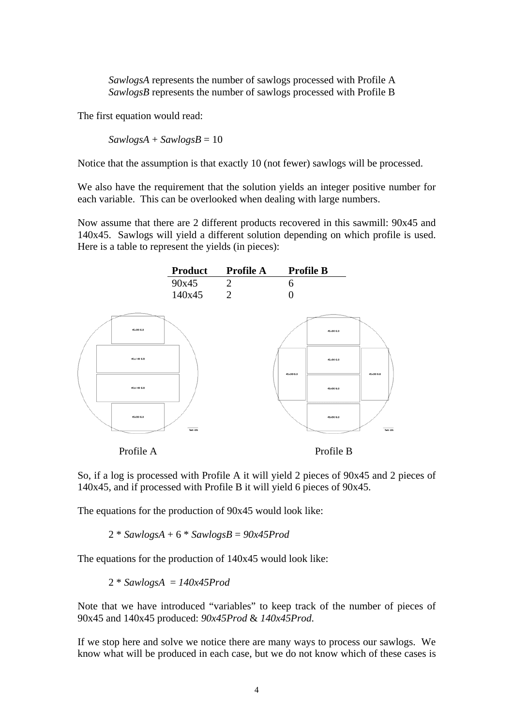*SawlogsA* represents the number of sawlogs processed with Profile A *SawlogsB* represents the number of sawlogs processed with Profile B

The first equation would read:

 $SawlogsA + SawlogsB = 10$ 

Notice that the assumption is that exactly 10 (not fewer) sawlogs will be processed.

We also have the requirement that the solution yields an integer positive number for each variable. This can be overlooked when dealing with large numbers.

Now assume that there are 2 different products recovered in this sawmill: 90x45 and 140x45. Sawlogs will yield a different solution depending on which profile is used. Here is a table to represent the yields (in pieces):



So, if a log is processed with Profile A it will yield 2 pieces of 90x45 and 2 pieces of 140x45, and if processed with Profile B it will yield 6 pieces of 90x45.

The equations for the production of 90x45 would look like:

2 \* *SawlogsA* + 6 \* *SawlogsB* = *90x45Prod* 

The equations for the production of 140x45 would look like:

2 \* *SawlogsA* = *140x45Prod* 

Note that we have introduced "variables" to keep track of the number of pieces of 90x45 and 140x45 produced: *90x45Prod* & *140x45Prod*.

If we stop here and solve we notice there are many ways to process our sawlogs. We know what will be produced in each case, but we do not know which of these cases is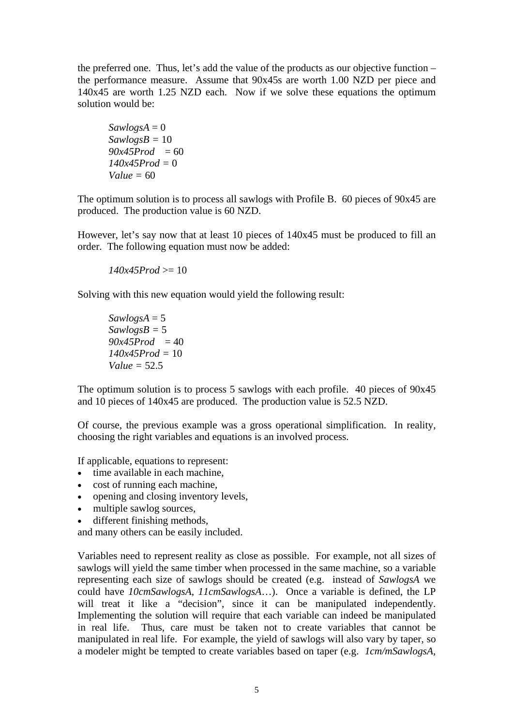the preferred one. Thus, let's add the value of the products as our objective function – the performance measure. Assume that 90x45s are worth 1.00 NZD per piece and 140x45 are worth 1.25 NZD each. Now if we solve these equations the optimum solution would be:

 $Sawlog<sub>S</sub>A = 0$ *SawlogsB =* 10  $90x45Prod = 60$ *140x45Prod =* 0 *Value =* 60

The optimum solution is to process all sawlogs with Profile B. 60 pieces of 90x45 are produced. The production value is 60 NZD.

However, let's say now that at least 10 pieces of 140x45 must be produced to fill an order. The following equation must now be added:

 $140x45Prod \ge 10$ 

Solving with this new equation would yield the following result:

 $Sawlog<sub>S</sub>A = 5$ *SawlogsB =* 5  $90x45Prod = 40$ *140x45Prod =* 10 *Value =* 52.5

The optimum solution is to process 5 sawlogs with each profile. 40 pieces of 90x45 and 10 pieces of 140x45 are produced. The production value is 52.5 NZD.

Of course, the previous example was a gross operational simplification. In reality, choosing the right variables and equations is an involved process.

If applicable, equations to represent:

- time available in each machine.
- cost of running each machine,
- opening and closing inventory levels.
- multiple sawlog sources,
- different finishing methods,

and many others can be easily included.

Variables need to represent reality as close as possible. For example, not all sizes of sawlogs will yield the same timber when processed in the same machine, so a variable representing each size of sawlogs should be created (e.g. instead of *SawlogsA* we could have *10cmSawlogsA*, *11cmSawlogsA*…). Once a variable is defined, the LP will treat it like a "decision", since it can be manipulated independently. Implementing the solution will require that each variable can indeed be manipulated in real life. Thus, care must be taken not to create variables that cannot be manipulated in real life. For example, the yield of sawlogs will also vary by taper, so a modeler might be tempted to create variables based on taper (e.g. *1cm/mSawlogsA,*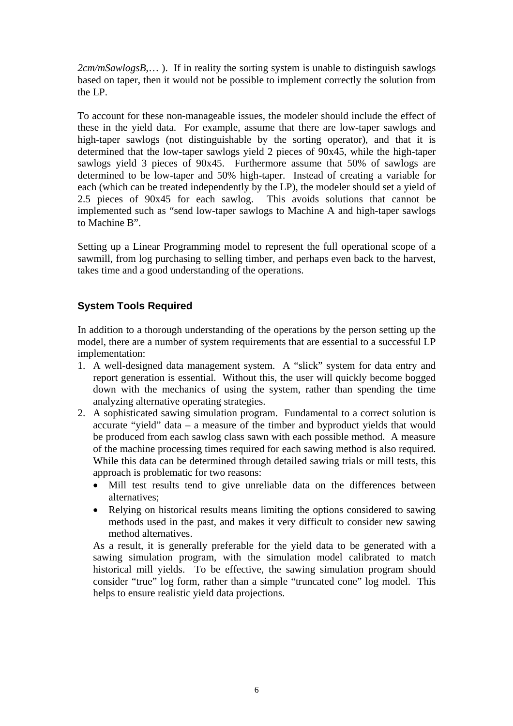*2cm/mSawlogsB*,… ). If in reality the sorting system is unable to distinguish sawlogs based on taper, then it would not be possible to implement correctly the solution from the LP.

To account for these non-manageable issues, the modeler should include the effect of these in the yield data. For example, assume that there are low-taper sawlogs and high-taper sawlogs (not distinguishable by the sorting operator), and that it is determined that the low-taper sawlogs yield 2 pieces of 90x45, while the high-taper sawlogs yield 3 pieces of 90x45. Furthermore assume that 50% of sawlogs are determined to be low-taper and 50% high-taper. Instead of creating a variable for each (which can be treated independently by the LP), the modeler should set a yield of 2.5 pieces of 90x45 for each sawlog. This avoids solutions that cannot be implemented such as "send low-taper sawlogs to Machine A and high-taper sawlogs to Machine B".

Setting up a Linear Programming model to represent the full operational scope of a sawmill, from log purchasing to selling timber, and perhaps even back to the harvest, takes time and a good understanding of the operations.

# **System Tools Required**

In addition to a thorough understanding of the operations by the person setting up the model, there are a number of system requirements that are essential to a successful LP implementation:

- 1. A well-designed data management system. A "slick" system for data entry and report generation is essential. Without this, the user will quickly become bogged down with the mechanics of using the system, rather than spending the time analyzing alternative operating strategies.
- 2. A sophisticated sawing simulation program. Fundamental to a correct solution is accurate "yield" data – a measure of the timber and byproduct yields that would be produced from each sawlog class sawn with each possible method. A measure of the machine processing times required for each sawing method is also required. While this data can be determined through detailed sawing trials or mill tests, this approach is problematic for two reasons:
	- Mill test results tend to give unreliable data on the differences between alternatives;
	- Relying on historical results means limiting the options considered to sawing methods used in the past, and makes it very difficult to consider new sawing method alternatives.

As a result, it is generally preferable for the yield data to be generated with a sawing simulation program, with the simulation model calibrated to match historical mill yields. To be effective, the sawing simulation program should consider "true" log form, rather than a simple "truncated cone" log model. This helps to ensure realistic yield data projections.